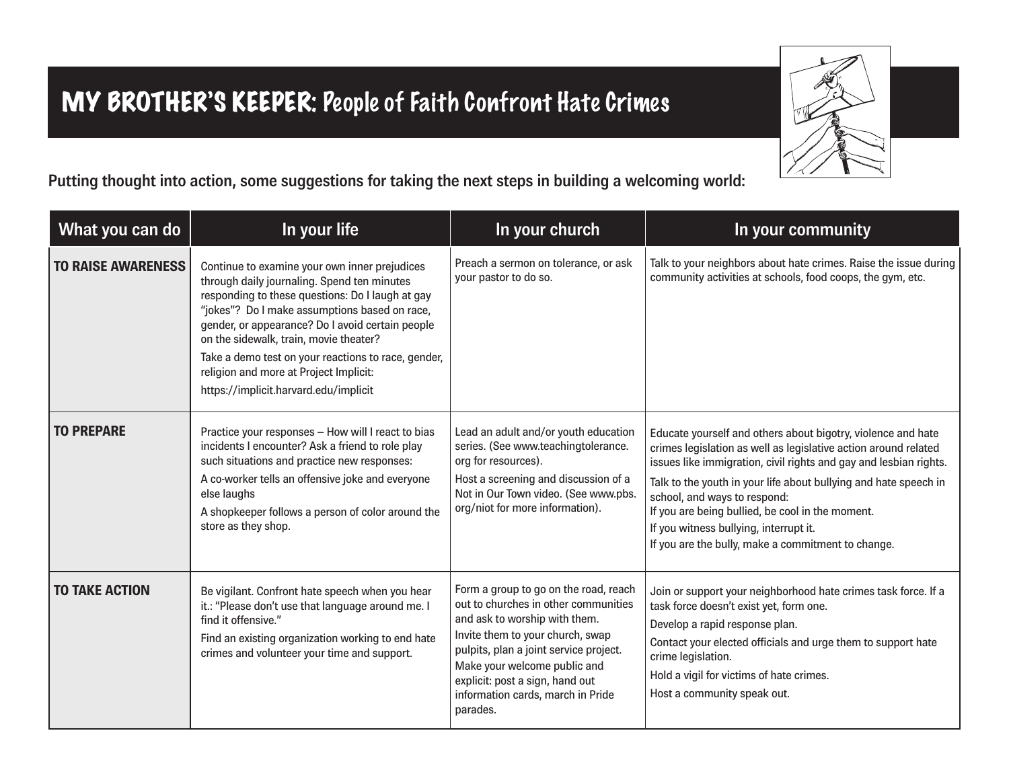## MY BROTHER'S KEEPER: People of Faith Confront Hate Crimes



**Putting thought into action, some suggestions for taking the next steps in building a welcoming world:**

| What you can do           | In your life                                                                                                                                                                                                                                                                                                                                                                                                                              | In your church                                                                                                                                                                                                                                                                                                   | In your community                                                                                                                                                                                                                                                                                                                                                                                                                                            |
|---------------------------|-------------------------------------------------------------------------------------------------------------------------------------------------------------------------------------------------------------------------------------------------------------------------------------------------------------------------------------------------------------------------------------------------------------------------------------------|------------------------------------------------------------------------------------------------------------------------------------------------------------------------------------------------------------------------------------------------------------------------------------------------------------------|--------------------------------------------------------------------------------------------------------------------------------------------------------------------------------------------------------------------------------------------------------------------------------------------------------------------------------------------------------------------------------------------------------------------------------------------------------------|
| <b>TO RAISE AWARENESS</b> | Continue to examine your own inner prejudices<br>through daily journaling. Spend ten minutes<br>responding to these questions: Do I laugh at gay<br>"jokes"? Do I make assumptions based on race,<br>gender, or appearance? Do I avoid certain people<br>on the sidewalk, train, movie theater?<br>Take a demo test on your reactions to race, gender,<br>religion and more at Project Implicit:<br>https://implicit.harvard.edu/implicit | Preach a sermon on tolerance, or ask<br>your pastor to do so.                                                                                                                                                                                                                                                    | Talk to your neighbors about hate crimes. Raise the issue during<br>community activities at schools, food coops, the gym, etc.                                                                                                                                                                                                                                                                                                                               |
| <b>TO PREPARE</b>         | Practice your responses - How will I react to bias<br>incidents I encounter? Ask a friend to role play<br>such situations and practice new responses:<br>A co-worker tells an offensive joke and everyone<br>else laughs<br>A shopkeeper follows a person of color around the<br>store as they shop.                                                                                                                                      | Lead an adult and/or youth education<br>series. (See www.teachingtolerance.<br>org for resources).<br>Host a screening and discussion of a<br>Not in Our Town video. (See www.pbs.<br>org/niot for more information).                                                                                            | Educate yourself and others about bigotry, violence and hate<br>crimes legislation as well as legislative action around related<br>issues like immigration, civil rights and gay and lesbian rights.<br>Talk to the youth in your life about bullying and hate speech in<br>school, and ways to respond:<br>If you are being bullied, be cool in the moment.<br>If you witness bullying, interrupt it.<br>If you are the bully, make a commitment to change. |
| <b>TO TAKE ACTION</b>     | Be vigilant. Confront hate speech when you hear<br>it.: "Please don't use that language around me. I<br>find it offensive."<br>Find an existing organization working to end hate<br>crimes and volunteer your time and support.                                                                                                                                                                                                           | Form a group to go on the road, reach<br>out to churches in other communities<br>and ask to worship with them.<br>Invite them to your church, swap<br>pulpits, plan a joint service project.<br>Make your welcome public and<br>explicit: post a sign, hand out<br>information cards, march in Pride<br>parades. | Join or support your neighborhood hate crimes task force. If a<br>task force doesn't exist yet, form one.<br>Develop a rapid response plan.<br>Contact your elected officials and urge them to support hate<br>crime legislation.<br>Hold a vigil for victims of hate crimes.<br>Host a community speak out.                                                                                                                                                 |